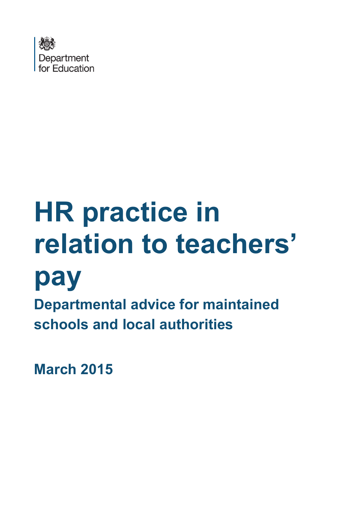

# **HR practice in relation to teachers'**



**Departmental advice for maintained schools and local authorities** 

**March 2015**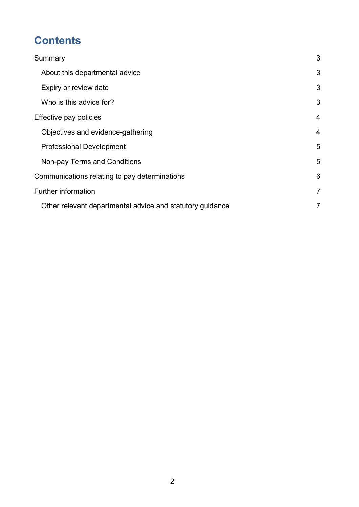# **Contents**

| Summary                                                   | 3              |
|-----------------------------------------------------------|----------------|
| About this departmental advice                            | 3              |
| Expiry or review date                                     | 3              |
| Who is this advice for?                                   | 3              |
| Effective pay policies                                    | $\overline{4}$ |
| Objectives and evidence-gathering                         | $\overline{4}$ |
| <b>Professional Development</b>                           | 5              |
| Non-pay Terms and Conditions                              | 5              |
| Communications relating to pay determinations             | 6              |
| Further information                                       | $\overline{7}$ |
| Other relevant departmental advice and statutory guidance | 7              |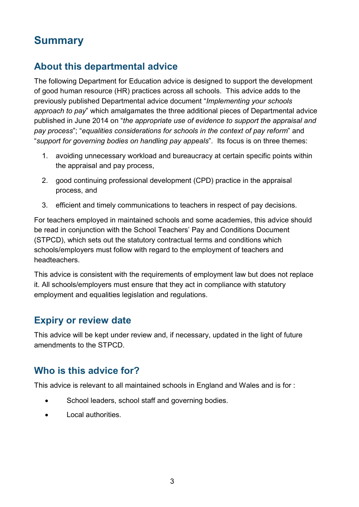## <span id="page-2-0"></span>**Summary**

## <span id="page-2-1"></span>**About this departmental advice**

The following Department for Education advice is designed to support the development of good human resource (HR) practices across all schools. This advice adds to the previously published Departmental advice document "*Implementing your schools approach to pay*" which amalgamates the three additional pieces of Departmental advice published in June 2014 on "*the appropriate use of evidence to support the appraisal and pay process*"; "*equalities considerations for schools in the context of pay reform*" and "*support for governing bodies on handling pay appeals*". Its focus is on three themes:

- 1. avoiding unnecessary workload and bureaucracy at certain specific points within the appraisal and pay process,
- 2. good continuing professional development (CPD) practice in the appraisal process, and
- 3. efficient and timely communications to teachers in respect of pay decisions.

For teachers employed in maintained schools and some academies, this advice should be read in conjunction with the School Teachers' Pay and Conditions Document (STPCD), which sets out the statutory contractual terms and conditions which schools/employers must follow with regard to the employment of teachers and headteachers.

This advice is consistent with the requirements of employment law but does not replace it. All schools/employers must ensure that they act in compliance with statutory employment and equalities legislation and regulations.

#### <span id="page-2-2"></span>**Expiry or review date**

This advice will be kept under review and, if necessary, updated in the light of future amendments to the STPCD.

#### <span id="page-2-3"></span>**Who is this advice for?**

This advice is relevant to all maintained schools in England and Wales and is for :

- School leaders, school staff and governing bodies.
- Local authorities.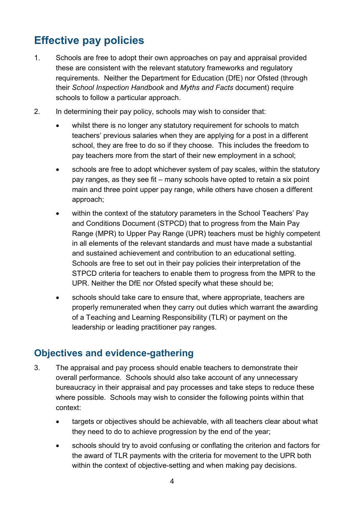# <span id="page-3-0"></span>**Effective pay policies**

- 1. Schools are free to adopt their own approaches on pay and appraisal provided these are consistent with the relevant statutory frameworks and regulatory requirements. Neither the Department for Education (DfE) nor Ofsted (through their *School Inspection Handbook* and *Myths and Facts* document) require schools to follow a particular approach.
- 2. In determining their pay policy, schools may wish to consider that:
	- whilst there is no longer any statutory requirement for schools to match teachers' previous salaries when they are applying for a post in a different school, they are free to do so if they choose. This includes the freedom to pay teachers more from the start of their new employment in a school;
	- schools are free to adopt whichever system of pay scales, within the statutory pay ranges, as they see fit – many schools have opted to retain a six point main and three point upper pay range, while others have chosen a different approach;
	- within the context of the statutory parameters in the School Teachers' Pay and Conditions Document (STPCD) that to progress from the Main Pay Range (MPR) to Upper Pay Range (UPR) teachers must be highly competent in all elements of the relevant standards and must have made a substantial and sustained achievement and contribution to an educational setting. Schools are free to set out in their pay policies their interpretation of the STPCD criteria for teachers to enable them to progress from the MPR to the UPR. Neither the DfE nor Ofsted specify what these should be;
	- schools should take care to ensure that, where appropriate, teachers are properly remunerated when they carry out duties which warrant the awarding of a Teaching and Learning Responsibility (TLR) or payment on the leadership or leading practitioner pay ranges.

#### <span id="page-3-1"></span>**Objectives and evidence-gathering**

- 3. The appraisal and pay process should enable teachers to demonstrate their overall performance. Schools should also take account of any unnecessary bureaucracy in their appraisal and pay processes and take steps to reduce these where possible. Schools may wish to consider the following points within that context:
	- targets or objectives should be achievable, with all teachers clear about what they need to do to achieve progression by the end of the year;
	- schools should try to avoid confusing or conflating the criterion and factors for the award of TLR payments with the criteria for movement to the UPR both within the context of objective-setting and when making pay decisions.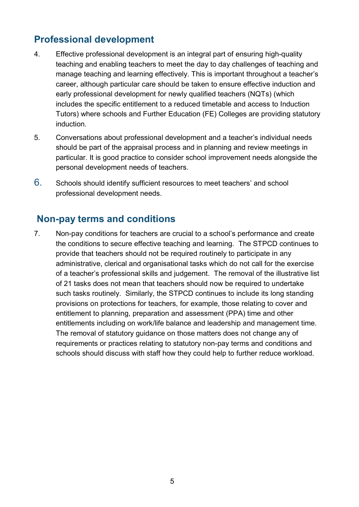### <span id="page-4-0"></span>**Professional development**

- 4. Effective professional development is an integral part of ensuring high-quality teaching and enabling teachers to meet the day to day challenges of teaching and manage teaching and learning effectively. This is important throughout a teacher's career, although particular care should be taken to ensure effective induction and early professional development for newly qualified teachers (NQTs) (which includes the specific entitlement to a reduced timetable and access to Induction Tutors) where schools and Further Education (FE) Colleges are providing statutory induction.
- 5. Conversations about professional development and a teacher's individual needs should be part of the appraisal process and in planning and review meetings in particular. It is good practice to consider school improvement needs alongside the personal development needs of teachers.
- <span id="page-4-1"></span>6. Schools should identify sufficient resources to meet teachers' and school professional development needs.

#### **Non-pay terms and conditions**

7. Non-pay conditions for teachers are crucial to a school's performance and create the conditions to secure effective teaching and learning. The STPCD continues to provide that teachers should not be required routinely to participate in any administrative, clerical and organisational tasks which do not call for the exercise of a teacher's professional skills and judgement. The removal of the illustrative list of 21 tasks does not mean that teachers should now be required to undertake such tasks routinely. Similarly, the STPCD continues to include its long standing provisions on protections for teachers, for example, those relating to cover and entitlement to planning, preparation and assessment (PPA) time and other entitlements including on work/life balance and leadership and management time. The removal of statutory guidance on those matters does not change any of requirements or practices relating to statutory non-pay terms and conditions and schools should discuss with staff how they could help to further reduce workload.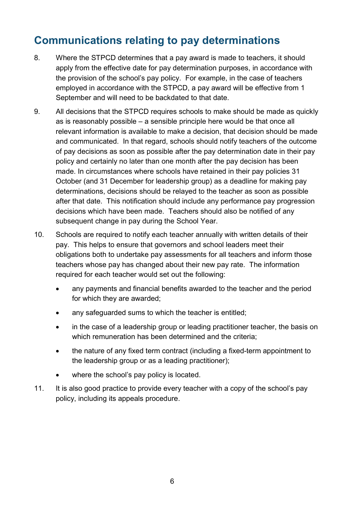## <span id="page-5-0"></span>**Communications relating to pay determinations**

- 8. Where the STPCD determines that a pay award is made to teachers, it should apply from the effective date for pay determination purposes, in accordance with the provision of the school's pay policy. For example, in the case of teachers employed in accordance with the STPCD, a pay award will be effective from 1 September and will need to be backdated to that date.
- 9. All decisions that the STPCD requires schools to make should be made as quickly as is reasonably possible – a sensible principle here would be that once all relevant information is available to make a decision, that decision should be made and communicated. In that regard, schools should notify teachers of the outcome of pay decisions as soon as possible after the pay determination date in their pay policy and certainly no later than one month after the pay decision has been made. In circumstances where schools have retained in their pay policies 31 October (and 31 December for leadership group) as a deadline for making pay determinations, decisions should be relayed to the teacher as soon as possible after that date. This notification should include any performance pay progression decisions which have been made. Teachers should also be notified of any subsequent change in pay during the School Year.
- 10. Schools are required to notify each teacher annually with written details of their pay. This helps to ensure that governors and school leaders meet their obligations both to undertake pay assessments for all teachers and inform those teachers whose pay has changed about their new pay rate. The information required for each teacher would set out the following:
	- any payments and financial benefits awarded to the teacher and the period for which they are awarded;
	- any safeguarded sums to which the teacher is entitled;
	- in the case of a leadership group or leading practitioner teacher, the basis on which remuneration has been determined and the criteria;
	- the nature of any fixed term contract (including a fixed-term appointment to the leadership group or as a leading practitioner);
	- where the school's pay policy is located.
- 11. It is also good practice to provide every teacher with a copy of the school's pay policy, including its appeals procedure.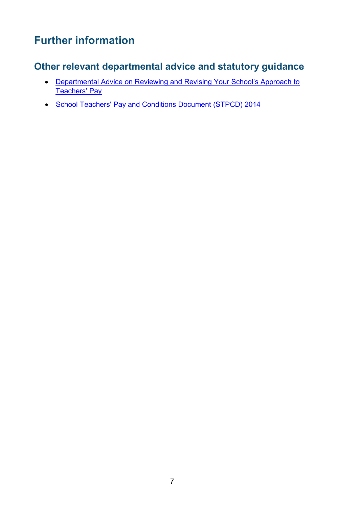# <span id="page-6-0"></span>**Further information**

## <span id="page-6-1"></span>**Other relevant departmental advice and statutory guidance**

- [Departmental Advice on Reviewing and Revising Your School's Approach to](https://www.gov.uk/government/publications/reviewing-and-revising-school-teachers-pay)  [Teachers' Pay](https://www.gov.uk/government/publications/reviewing-and-revising-school-teachers-pay)
- [School Teachers' Pay and Conditions Document \(STPCD\) 2014](https://www.gov.uk/government/publications/school-teachers-pay-and-conditions-2014)